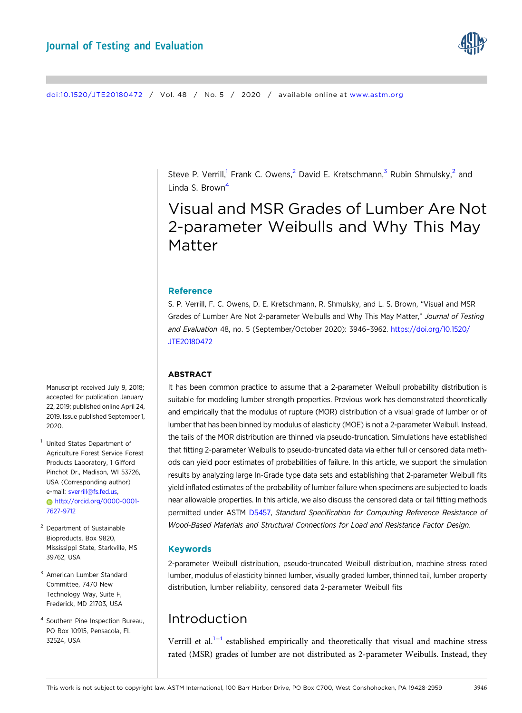

#### [doi:10.1520/JTE20180472](https://doi.org/10.1520/JTE20180472) / Vol. 48 / No. 5 / 2020 / available online at [www.astm.org](https://www.astm.org)

Steve P. Verrill,<sup>1</sup> Frank C. Owens,<sup>2</sup> David E. Kretschmann,<sup>3</sup> Rubin Shmulsky,<sup>2</sup> and Linda S. Brown<sup>4</sup>

# Visual and MSR Grades of Lumber Are Not 2-parameter Weibulls and Why This May Matter

#### Reference

S. P. Verrill, F. C. Owens, D. E. Kretschmann, R. Shmulsky, and L. S. Brown, "Visual and MSR Grades of Lumber Are Not 2-parameter Weibulls and Why This May Matter," Journal of Testing and Evaluation 48, no. 5 (September/October 2020): 3946–3962. [https://doi.org/10.1520/](https://doi.org/10.1520/JTE20180472) [JTE20180472](https://doi.org/10.1520/JTE20180472)

#### ABSTRACT

It has been common practice to assume that a 2-parameter Weibull probability distribution is suitable for modeling lumber strength properties. Previous work has demonstrated theoretically and empirically that the modulus of rupture (MOR) distribution of a visual grade of lumber or of lumber that has been binned by modulus of elasticity (MOE) is not a 2-parameter Weibull. Instead, the tails of the MOR distribution are thinned via pseudo-truncation. Simulations have established that fitting 2-parameter Weibulls to pseudo-truncated data via either full or censored data methods can yield poor estimates of probabilities of failure. In this article, we support the simulation results by analyzing large In-Grade type data sets and establishing that 2-parameter Weibull fits yield inflated estimates of the probability of lumber failure when specimens are subjected to loads near allowable properties. In this article, we also discuss the censored data or tail fitting methods permitted under ASTM [D5457](https://www.astm.org/Standards/D5457), Standard Specification for Computing Reference Resistance of Wood-Based Materials and Structural Connections for Load and Resistance Factor Design.

### Keywords

2-parameter Weibull distribution, pseudo-truncated Weibull distribution, machine stress rated lumber, modulus of elasticity binned lumber, visually graded lumber, thinned tail, lumber property distribution, lumber reliability, censored data 2-parameter Weibull fits

## Introduction

Verrill et al. $1-4$  $1-4$  $1-4$  established empirically and theoretically that visual and machine stress rated (MSR) grades of lumber are not distributed as 2-parameter Weibulls. Instead, they

Manuscript received July 9, 2018; accepted for publication January 22, 2019; published online April 24, 2019. Issue published September 1, 2020.

- <sup>1</sup> United States Department of Agriculture Forest Service Forest Products Laboratory, 1 Gifford Pinchot Dr., Madison, WI 53726, USA (Corresponding author) e-mail: [sverrill@fs.fed.us](mailto:sverrill@fs.fed.us), [http://orcid.org/0000-0001-](http://orcid.org/0000-0001-7627-9712) [7627-9712](http://orcid.org/0000-0001-7627-9712)
- <sup>2</sup> Department of Sustainable Bioproducts, Box 9820, Mississippi State, Starkville, MS 39762, USA
- <sup>3</sup> American Lumber Standard Committee, 7470 New Technology Way, Suite F, Frederick, MD 21703, USA
- <sup>4</sup> Southern Pine Inspection Bureau, PO Box 10915, Pensacola, FL 32524, USA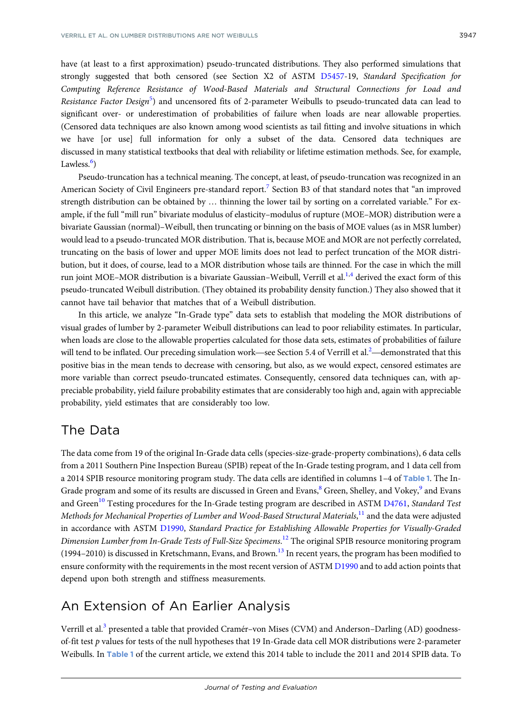have (at least to a first approximation) pseudo-truncated distributions. They also performed simulations that strongly suggested that both censored (see Section X2 of ASTM [D5457](https://www.astm.org/Standards/D5457)-19, Standard Specification for Computing Reference Resistance of Wood-Based Materials and Structural Connections for Load and Resistance Factor Design<sup>[5](#page-16-0)</sup>) and uncensored fits of 2-parameter Weibulls to pseudo-truncated data can lead to significant over- or underestimation of probabilities of failure when loads are near allowable properties. (Censored data techniques are also known among wood scientists as tail fitting and involve situations in which we have [or use] full information for only a subset of the data. Censored data techniques are discussed in many statistical textbooks that deal with reliability or lifetime estimation methods. See, for example, Lawless.<sup>[6](#page-16-0)</sup>)

Pseudo-truncation has a technical meaning. The concept, at least, of pseudo-truncation was recognized in an American Society of Civil Engineers pre-standard report.<sup>[7](#page-16-0)</sup> Section B3 of that standard notes that "an improved strength distribution can be obtained by … thinning the lower tail by sorting on a correlated variable." For example, if the full "mill run" bivariate modulus of elasticity–modulus of rupture (MOE–MOR) distribution were a bivariate Gaussian (normal)–Weibull, then truncating or binning on the basis of MOE values (as in MSR lumber) would lead to a pseudo-truncated MOR distribution. That is, because MOE and MOR are not perfectly correlated, truncating on the basis of lower and upper MOE limits does not lead to perfect truncation of the MOR distribution, but it does, of course, lead to a MOR distribution whose tails are thinned. For the case in which the mill run joint MOE–MOR distribution is a bivariate Gaussian–Weibull, Verrill et al.<sup>1,4</sup> derived the exact form of this pseudo-truncated Weibull distribution. (They obtained its probability density function.) They also showed that it cannot have tail behavior that matches that of a Weibull distribution.

In this article, we analyze "In-Grade type" data sets to establish that modeling the MOR distributions of visual grades of lumber by 2-parameter Weibull distributions can lead to poor reliability estimates. In particular, when loads are close to the allowable properties calculated for those data sets, estimates of probabilities of failure In this article, we analyze "In-Grade type" data sets to establish that modeling the visual grades of lumber by 2-parameter Weibull distributions can lead to poor reliability when loads are close to the allowable propertie will tend to be inflated. Our preceding simulation work—see Section 5.4 of Verrill et al. $^2$ —demonstrated that this positive bias in the mean tends to decrease with censoring, but also, as we would expect, censored estimates are more variable than correct pseudo-truncated estimates. Consequently, censored data techniques can, with appreciable probability, yield failure probability estimates that are considerably too high and, again with appreciable probability, yield estimates that are considerably too low.

## The Data

The data come from 19 of the original In-Grade data cells (species-size-grade-property combinations), 6 data cells from a 2011 Southern Pine Inspection Bureau (SPIB) repeat of the In-Grade testing program, and 1 data cell from a 2014 SPIB resource monitoring program study. The data cells are identified in columns [1](#page-2-0)–4 of Table 1. The In-Grade program and some of its results are discussed in Green and Evans,<sup>[8](#page-16-0)</sup> Green, Shelley, and Vokey,<sup>[9](#page-16-0)</sup> and Evans and Green<sup>[10](#page-16-0)</sup> Testing procedures for the In-Grade testing program are described in ASTM [D4761](https://www.astm.org/Standards/D4761), Standard Test Methods for Mechanical Properties of Lumber and Wood-Based Structural Materials, $^{\rm 11}$  $^{\rm 11}$  $^{\rm 11}$  and the data were adjusted in accordance with ASTM [D1990](https://www.astm.org/Standards/D1990), Standard Practice for Establishing Allowable Properties for Visually-Graded Dimension Lumber from In-Grade Tests of Full-Size Specimens.<sup>[12](#page-16-0)</sup> The original SPIB resource monitoring program  $(1994–2010)$  is discussed in Kretschmann, Evans, and Brown.<sup>13</sup> In recent years, the program has been modified to ensure conformity with the requirements in the most recent version of ASTM [D1990](https://www.astm.org/Standards/D1990) and to add action points that depend upon both strength and stiffness measurements.

## An Extension of An Earlier Analysis

Verrill et al.<sup>[3](#page-16-0)</sup> presented a table that provided Cramér–von Mises (CVM) and Anderson–Darling (AD) goodnessof-fit test p values for tests of the null hypotheses that 19 In-Grade data cell MOR distributions were 2-parameter Weibulls. In Table [1](#page-2-0) of the current article, we extend this 2014 table to include the 2011 and 2014 SPIB data. To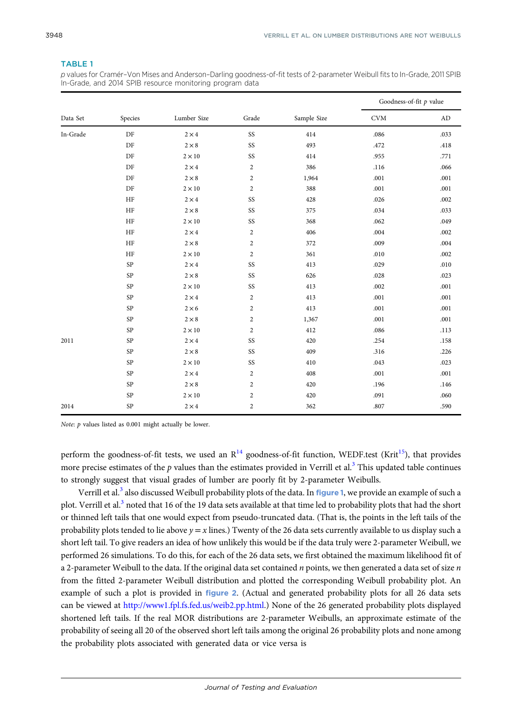### <span id="page-2-0"></span>TABLE 1

p values for Cramér–Von Mises and Anderson–Darling goodness-of-fit tests of 2-parameter Weibull fits to In-Grade, 2011 SPIB In-Grade, and 2014 SPIB resource monitoring program data

|          | Species  | Lumber Size  |                |             | Goodness-of-fit $p$ value   |             |
|----------|----------|--------------|----------------|-------------|-----------------------------|-------------|
| Data Set |          |              | Grade          | Sample Size | $\mathop{\rm CVM}\nolimits$ | $\mbox{AD}$ |
| In-Grade | DF       | $2 \times 4$ | SS             | 414         | .086                        | .033        |
|          | DF       | $2\times8$   | SS             | 493         | .472                        | .418        |
|          | $\rm DF$ | $2\times10$  | SS             | 414         | .955                        | .771        |
|          | $\rm DF$ | $2 \times 4$ | $\sqrt{2}$     | 386         | .116                        | .066        |
|          | $\rm DF$ | $2\times8$   | $\overline{c}$ | 1,964       | .001                        | .001        |
|          | $\rm DF$ | $2\times10$  | $\overline{c}$ | 388         | .001                        | .001        |
|          | HF       | $2 \times 4$ | SS             | 428         | .026                        | .002        |
|          | HF       | $2\times8$   | SS             | 375         | .034                        | .033        |
|          | HF       | $2\times10$  | SS             | 368         | .062                        | .049        |
|          | HF       | $2\times 4$  | $\sqrt{2}$     | 406         | .004                        | .002        |
|          | HF       | $2\times8$   | $\overline{2}$ | 372         | .009                        | .004        |
|          | HF       | $2\times10$  | $\overline{c}$ | 361         | .010                        | .002        |
|          | SP       | $2 \times 4$ | SS             | 413         | .029                        | .010        |
|          | SP       | $2 \times 8$ | SS             | 626         | .028                        | .023        |
|          | SP       | $2\times10$  | SS             | 413         | .002                        | .001        |
|          | SP       | $2 \times 4$ | $\overline{c}$ | 413         | .001                        | .001        |
|          | SP       | $2 \times 6$ | $\sqrt{2}$     | 413         | .001                        | .001        |
|          | SP       | $2 \times 8$ | $\overline{2}$ | 1,367       | .001                        | .001        |
|          | SP       | $2\times10$  | $\overline{c}$ | 412         | .086                        | .113        |
| 2011     | SP       | $2\times 4$  | SS             | 420         | .254                        | .158        |
|          | SP       | $2\times8$   | SS             | 409         | .316                        | .226        |
|          | SP       | $2\times10$  | SS             | 410         | .043                        | .023        |
|          | SP       | $2 \times 4$ | $\overline{c}$ | 408         | .001                        | .001        |
|          | SP       | $2\times8$   | $\overline{c}$ | 420         | .196                        | .146        |
|          | SP       | $2\times10$  | $\sqrt{2}$     | 420         | .091                        | .060        |
| 2014     | SP       | $2\times 4$  | $\overline{c}$ | 362         | $.807\,$                    | .590        |

Note: p values listed as 0.001 might actually be lower.

perform the goodness-of-fit tests, we used an  $R^{14}$  goodness-of-fit function, WEDF.test (Krit<sup>15</sup>), that provides more precise estimates of the p values than the estimates provided in Verrill et al.<sup>[3](#page-16-0)</sup> This updated table continues to strongly suggest that visual grades of lumber are poorly fit by 2-parameter Weibulls.

Verrill et al.<sup>[3](#page-16-0)</sup> also discussed Weibull probability plots of the data. In figure [1](#page-3-0), we provide an example of such a plot. Verrill et al.<sup>[3](#page-16-0)</sup> noted that 16 of the 19 data sets available at that time led to probability plots that had the short or thinned left tails that one would expect from pseudo-truncated data. (That is, the points in the left tails of the probability plots tended to lie above  $y = x$  lines.) Twenty of the 26 data sets currently available to us display such a short left tail. To give readers an idea of how unlikely this would be if the data truly were 2-parameter Weibull, we performed 26 simulations. To do this, for each of the 26 data sets, we first obtained the maximum likelihood fit of a 2-parameter Weibull to the data. If the original data set contained  $n$  points, we then generated a data set of size  $n$ from the fitted 2-parameter Weibull distribution and plotted the corresponding Weibull probability plot. An example of such a plot is provided in *figure [2](#page-3-0)*. (Actual and generated probability plots for all 26 data sets can be viewed at <http://www1.fpl.fs.fed.us/weib2.pp.html>.) None of the 26 generated probability plots displayed shortened left tails. If the real MOR distributions are 2-parameter Weibulls, an approximate estimate of the probability of seeing all 20 of the observed short left tails among the original 26 probability plots and none among the probability plots associated with generated data or vice versa is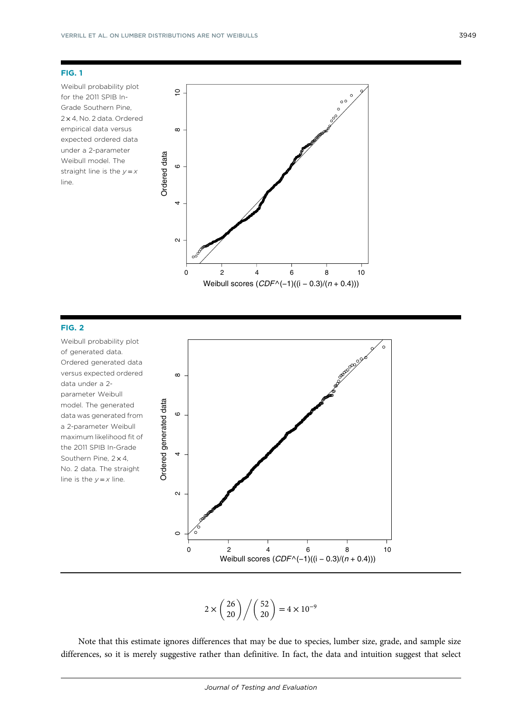<span id="page-3-0"></span>Weibull probability plot for the 2011 SPIB In-Grade Southern Pine, 2 × 4, No. 2 data. Ordered empirical data versus expected ordered data under a 2-parameter Weibull model. The straight line is the  $y = x$ line.



### FIG. 2

Weibull probability plot of generated data. Ordered generated data versus expected ordered  $\infty$  $02$ <br>0<br>2 data under a 2 parameter Weibull Ordered generated data Ordered generated data model. The generated  $\circ$ data was generated from a 2-parameter Weibull maximum likelihood fit of the 2011 SPIB In-Grade Southern Pine,  $2 \times 4$ , No. 2 data. The straight line is the  $y = x$  line.  $\boldsymbol{\sim}$  $\subset$ 0 2 4 6 8 10 Weibull scores (*CDF* ^(−1)((i − 0.3)/(*n* + 0.4)))

 $2 \times \binom{26}{20} / \binom{52}{20} = 4 \times 10^{-9}$ 

Note that this estimate ignores differences that may be due to species, lumber size, grade, and sample size differences, so it is merely suggestive rather than definitive. In fact, the data and intuition suggest that select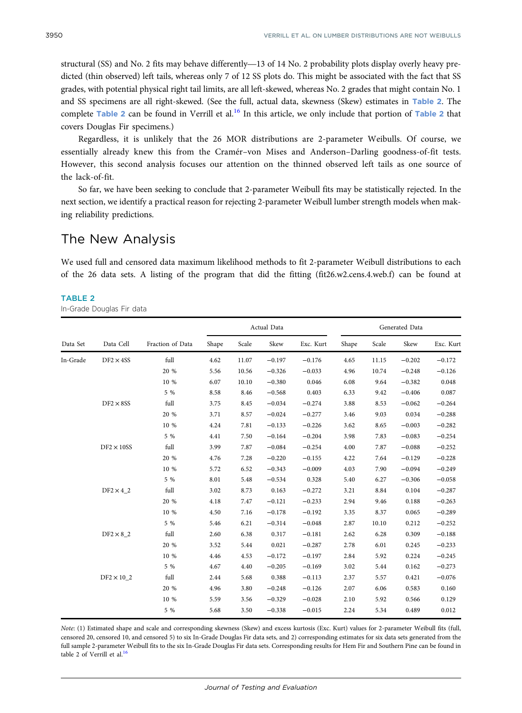<span id="page-4-0"></span>SPSO<br>structural (SS) and No. 2 fits may behave differently—13 of 14 No. 2 probability plots display overly heavy pre-<br>structural (SS) and No. 2 fits may behave differently—13 of 14 No. 2 probability plots display overly he dicted (thin observed) left tails, whereas only 7 of 12 SS plots do. This might be associated with the fact that SS grades, with potential physical right tail limits, are all left-skewed, whereas No. 2 grades that might contain No. 1 and SS specimens are all right-skewed. (See the full, actual data, skewness (Skew) estimates in Table 2. The complete Table 2 can be found in Verrill et al.<sup>[16](#page-16-0)</sup> In this article, we only include that portion of Table 2 that covers Douglas Fir specimens.)

Regardless, it is unlikely that the 26 MOR distributions are 2-parameter Weibulls. Of course, we essentially already knew this from the Cramér–von Mises and Anderson–Darling goodness-of-fit tests. However, this second analysis focuses our attention on the thinned observed left tails as one source of the lack-of-fit.

So far, we have been seeking to conclude that 2-parameter Weibull fits may be statistically rejected. In the next section, we identify a practical reason for rejecting 2-parameter Weibull lumber strength models when making reliability predictions.

## The New Analysis

We used full and censored data maximum likelihood methods to fit 2-parameter Weibull distributions to each of the 26 data sets. A listing of the program that did the fitting (fit26.w2.cens.4.web.f) can be found at

#### TABLE 2

In-Grade Douglas Fir data

|          |                              |                  | Actual Data |       |          | Generated Data |       |       |          |           |
|----------|------------------------------|------------------|-------------|-------|----------|----------------|-------|-------|----------|-----------|
| Data Set | Data Cell                    | Fraction of Data | Shape       | Scale | Skew     | Exc. Kurt      | Shape | Scale | Skew     | Exc. Kurt |
| In-Grade | $DF2 \times 4SS$             | full             | 4.62        | 11.07 | $-0.197$ | $-0.176$       | 4.65  | 11.15 | $-0.202$ | $-0.172$  |
|          |                              | 20 %             | 5.56        | 10.56 | $-0.326$ | $-0.033$       | 4.96  | 10.74 | $-0.248$ | $-0.126$  |
|          |                              | 10 %             | 6.07        | 10.10 | $-0.380$ | 0.046          | 6.08  | 9.64  | $-0.382$ | 0.048     |
|          |                              | 5 %              | 8.58        | 8.46  | $-0.568$ | 0.403          | 6.33  | 9.42  | $-0.406$ | 0.087     |
|          | $DF2 \times 8SS$             | full             | 3.75        | 8.45  | $-0.034$ | $-0.274$       | 3.88  | 8.53  | $-0.062$ | $-0.264$  |
|          |                              | 20 %             | 3.71        | 8.57  | $-0.024$ | $-0.277$       | 3.46  | 9.03  | 0.034    | $-0.288$  |
|          |                              | 10 %             | 4.24        | 7.81  | $-0.133$ | $-0.226$       | 3.62  | 8.65  | $-0.003$ | $-0.282$  |
|          |                              | 5 %              | 4.41        | 7.50  | $-0.164$ | $-0.204$       | 3.98  | 7.83  | $-0.083$ | $-0.254$  |
|          | $DF2 \times 10SS$            | full             | 3.99        | 7.87  | $-0.084$ | $-0.254$       | 4.00  | 7.87  | $-0.088$ | $-0.252$  |
|          |                              | 20 %             | 4.76        | 7.28  | $-0.220$ | $-0.155$       | 4.22  | 7.64  | $-0.129$ | $-0.228$  |
|          |                              | 10 %             | 5.72        | 6.52  | $-0.343$ | $-0.009$       | 4.03  | 7.90  | $-0.094$ | $-0.249$  |
|          |                              | 5 %              | 8.01        | 5.48  | $-0.534$ | 0.328          | 5.40  | 6.27  | $-0.306$ | $-0.058$  |
|          | $DF2 \times 4$ 2             | full             | 3.02        | 8.73  | 0.163    | $-0.272$       | 3.21  | 8.84  | 0.104    | $-0.287$  |
|          |                              | 20 %             | 4.18        | 7.47  | $-0.121$ | $-0.233$       | 2.94  | 9.46  | 0.188    | $-0.263$  |
|          |                              | 10 %             | 4.50        | 7.16  | $-0.178$ | $-0.192$       | 3.35  | 8.37  | 0.065    | $-0.289$  |
|          |                              | 5 %              | 5.46        | 6.21  | $-0.314$ | $-0.048$       | 2.87  | 10.10 | 0.212    | $-0.252$  |
|          | $DF2 \times 8$ 2             | full             | 2.60        | 6.38  | 0.317    | $-0.181$       | 2.62  | 6.28  | 0.309    | $-0.188$  |
|          |                              | 20 %             | 3.52        | 5.44  | 0.021    | $-0.287$       | 2.78  | 6.01  | 0.245    | $-0.233$  |
|          |                              | 10 %             | 4.46        | 4.53  | $-0.172$ | $-0.197$       | 2.84  | 5.92  | 0.224    | $-0.245$  |
|          |                              | 5 %              | 4.67        | 4.40  | $-0.205$ | $-0.169$       | 3.02  | 5.44  | 0.162    | $-0.273$  |
|          | $DF2 \times 10$ <sup>2</sup> | full             | 2.44        | 5.68  | 0.388    | $-0.113$       | 2.37  | 5.57  | 0.421    | $-0.076$  |
|          |                              | 20 %             | 4.96        | 3.80  | $-0.248$ | $-0.126$       | 2.07  | 6.06  | 0.583    | 0.160     |
|          |                              | 10 %             | 5.59        | 3.56  | $-0.329$ | $-0.028$       | 2.10  | 5.92  | 0.566    | 0.129     |
|          |                              | 5 %              | 5.68        | 3.50  | $-0.338$ | $-0.015$       | 2.24  | 5.34  | 0.489    | 0.012     |

Note: (1) Estimated shape and scale and corresponding skewness (Skew) and excess kurtosis (Exc. Kurt) values for 2-parameter Weibull fits (full, censored 20, censored 10, and censored 5) to six In-Grade Douglas Fir data sets, and 2) corresponding estimates for six data sets generated from the full sample 2-parameter Weibull fits to the six In-Grade Douglas Fir data sets. Corresponding results for Hem Fir and Southern Pine can be found in table 2 of Verrill et al. $16$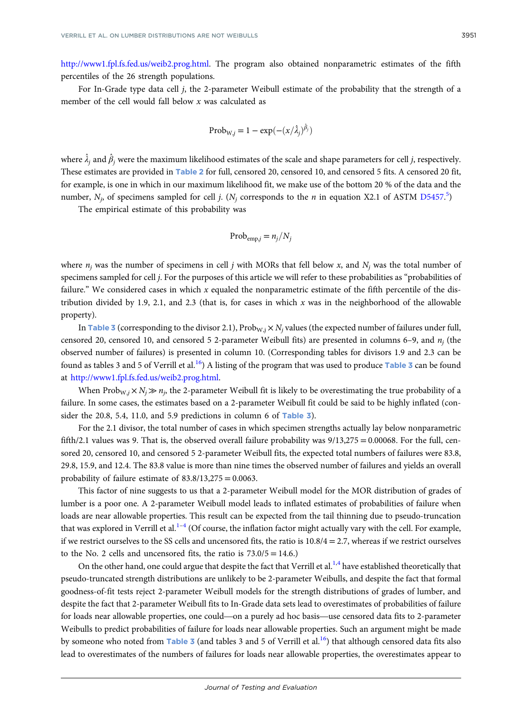<http://www1.fpl.fs.fed.us/weib2.prog.html>. The program also obtained nonparametric estimates of the fifth percentiles of the 26 strength populations.

For In-Grade type data cell j, the 2-parameter Weibull estimate of the probability that the strength of a member of the cell would fall below  $x$  was calculated as

$$
Prob_{W,j} = 1 - exp(-\left(\frac{x}{\lambda_j}\right)^{\hat{\beta}_j})
$$

where  $\hat{\lambda}_j$  and  $\hat{\beta}_j$  were the maximum likelihood estimates of the scale and shape parameters for cell  $j$ , respectively. These estimates are provided in Table [2](#page-4-0) for full, censored 20, censored 10, and censored 5 fits. A censored 20 fit, for example, is one in which in our maximum likelihood fit, we make use of the bottom 20 % of the data and the number,  $N_j$ , of specimens sampled for cell j. ( $N_j$  corresponds to the *n* in equation X2.1 of ASTM [D5457](https://www.astm.org/Standards/D5457).<sup>[5](#page-16-0)</sup>)

The empirical estimate of this probability was

$$
Prob_{\text{emp},j} = n_j/N_j
$$

where  $n_i$  was the number of specimens in cell j with MORs that fell below x, and  $N_i$  was the total number of specimens sampled for cell j. For the purposes of this article we will refer to these probabilities as "probabilities of failure." We considered cases in which x equaled the nonparametric estimate of the fifth percentile of the distribution divided by 1.9, 2.1, and 2.3 (that is, for cases in which  $x$  was in the neighborhood of the allowable property).

In Table [3](#page-6-0) (corresponding to the divisor 2.1),  $Prob_{W,j} \times N_j$  values (the expected number of failures under full, censored 20, censored 10, and censored 5 2-parameter Weibull fits) are presented in columns 6–9, and  $n_i$  (the observed number of failures) is presented in column 10. (Corresponding tables for divisors 1.9 and 2.3 can be found as tables [3](#page-6-0) and 5 of Verrill et al.<sup>16</sup>) A listing of the program that was used to produce Table 3 can be found at <http://www1.fpl.fs.fed.us/weib2.prog.html>.

When Prob<sub>W,j</sub>  $\times N_i \gg n_i$ , the 2-parameter Weibull fit is likely to be overestimating the true probability of a failure. In some cases, the estimates based on a 2-parameter Weibull fit could be said to be highly inflated (consider the 20.8, 5.4, 11.0, and 5.9 predictions in column 6 of  $Table 3$  $Table 3$ .

For the 2.1 divisor, the total number of cases in which specimen strengths actually lay below nonparametric fifth/2.1 values was 9. That is, the observed overall failure probability was  $9/13,275 = 0.00068$ . For the full, censored 20, censored 10, and censored 5 2-parameter Weibull fits, the expected total numbers of failures were 83.8, 29.8, 15.9, and 12.4. The 83.8 value is more than nine times the observed number of failures and yields an overall probability of failure estimate of  $83.8/13,275 = 0.0063$ .

This factor of nine suggests to us that a 2-parameter Weibull model for the MOR distribution of grades of lumber is a poor one. A 2-parameter Weibull model leads to inflated estimates of probabilities of failure when loads are near allowable properties. This result can be expected from the tail thinning due to pseudo-truncation that was explored in Verrill et al. $1-4$  $1-4$  $1-4$  (Of course, the inflation factor might actually vary with the cell. For example, if we restrict ourselves to the SS cells and uncensored fits, the ratio is  $10.8/4 = 2.7$ , whereas if we restrict ourselves to the No. 2 cells and uncensored fits, the ratio is  $73.0/5 = 14.6$ .

On the other hand, one could argue that despite the fact that Verrill et al.<sup>[1](#page-16-0),[4](#page-16-0)</sup> have established theoretically that pseudo-truncated strength distributions are unlikely to be 2-parameter Weibulls, and despite the fact that formal<br>goodness-of-fit tests reject 2-parameter Weibull models for the strength distributions of grades of lumber, goodness-of-fit tests reject 2-parameter Weibull models for the strength distributions of grades of lumber, and despite the fact that 2-parameter Weibull fits to In-Grade data sets lead to overestimates of probabilities of failure Weibulls to predict probabilities of failure for loads near allowable properties. Such an argument might be made by someone who noted from Table [3](#page-6-0) (and tables 3 and 5 of Verrill et al.<sup>16</sup>) that although censored data fits also lead to overestimates of the numbers of failures for loads near allowable properties, the overestimates appear to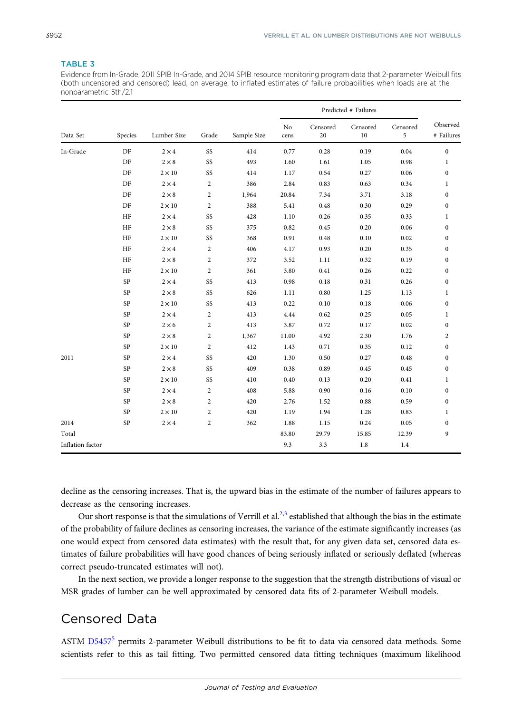### <span id="page-6-0"></span>TABLE 3

Evidence from In-Grade, 2011 SPIB In-Grade, and 2014 SPIB resource monitoring program data that 2-parameter Weibull fits (both uncensored and censored) lead, on average, to inflated estimates of failure probabilities when loads are at the nonparametric 5th/2.1

|                  | Species     | Lumber Size   | Grade          | Sample Size | Predicted # Failures |                |                    |               |                         |
|------------------|-------------|---------------|----------------|-------------|----------------------|----------------|--------------------|---------------|-------------------------|
| Data Set         |             |               |                |             | No<br>cens           | Censored<br>20 | Censored<br>$10\,$ | Censored<br>5 | Observed<br># Failures  |
| In-Grade         | DF          | $2 \times 4$  | SS             | 414         | 0.77                 | 0.28           | 0.19               | 0.04          | $\boldsymbol{0}$        |
|                  | DF          | $2 \times 8$  | SS             | 493         | 1.60                 | 1.61           | 1.05               | 0.98          | $\,1$                   |
|                  | DF          | $2 \times 10$ | SS             | 414         | 1.17                 | 0.54           | 0.27               | 0.06          | $\boldsymbol{0}$        |
|                  | DF          | $2 \times 4$  | $\overline{c}$ | 386         | 2.84                 | 0.83           | 0.63               | 0.34          | $\mathbf{1}$            |
|                  | DF          | $2 \times 8$  | $\overline{c}$ | 1,964       | 20.84                | 7.34           | 3.71               | 3.18          | $\boldsymbol{0}$        |
|                  | DF          | $2 \times 10$ | $\overline{c}$ | 388         | 5.41                 | 0.48           | 0.30               | 0.29          | $\boldsymbol{0}$        |
|                  | HF          | $2 \times 4$  | SS             | 428         | 1.10                 | 0.26           | 0.35               | 0.33          | $\mathbf{1}$            |
|                  | HF          | $2 \times 8$  | SS             | 375         | 0.82                 | 0.45           | 0.20               | 0.06          | $\boldsymbol{0}$        |
|                  | HF          | $2 \times 10$ | SS             | 368         | 0.91                 | 0.48           | 0.10               | 0.02          | $\boldsymbol{0}$        |
|                  | HF          | $2 \times 4$  | $\overline{c}$ | 406         | 4.17                 | 0.93           | 0.20               | 0.35          | $\boldsymbol{0}$        |
|                  | HF          | $2 \times 8$  | $\overline{c}$ | 372         | 3.52                 | 1.11           | 0.32               | 0.19          | $\boldsymbol{0}$        |
|                  | HF          | $2 \times 10$ | $\overline{c}$ | 361         | 3.80                 | 0.41           | 0.26               | 0.22          | $\boldsymbol{0}$        |
|                  | SP          | $2 \times 4$  | SS             | 413         | 0.98                 | 0.18           | 0.31               | 0.26          | $\boldsymbol{0}$        |
|                  | SP          | $2 \times 8$  | SS             | 626         | 1.11                 | 0.80           | 1.25               | 1.13          | $\mathbf{1}$            |
|                  | SP          | $2 \times 10$ | SS             | 413         | 0.22                 | 0.10           | 0.18               | 0.06          | $\boldsymbol{0}$        |
|                  | SP          | $2 \times 4$  | $\overline{c}$ | 413         | 4.44                 | 0.62           | 0.25               | 0.05          | $\mathbf{1}$            |
|                  | SP          | $2 \times 6$  | $\overline{c}$ | 413         | 3.87                 | 0.72           | 0.17               | 0.02          | $\boldsymbol{0}$        |
|                  | SP          | $2 \times 8$  | $\overline{c}$ | 1,367       | 11.00                | 4.92           | 2.30               | 1.76          | $\overline{\mathbf{c}}$ |
|                  | SP          | $2 \times 10$ | $\overline{2}$ | 412         | 1.43                 | 0.71           | 0.35               | 0.12          | $\bf{0}$                |
| 2011             | SP          | $2 \times 4$  | SS             | 420         | 1.30                 | 0.50           | 0.27               | 0.48          | $\bf{0}$                |
|                  | SP          | $2 \times 8$  | SS             | 409         | 0.38                 | 0.89           | 0.45               | 0.45          | $\boldsymbol{0}$        |
|                  | SP          | $2 \times 10$ | SS             | 410         | 0.40                 | 0.13           | 0.20               | 0.41          | $\mathbf{1}$            |
|                  | SP          | $2 \times 4$  | $\overline{c}$ | 408         | 5.88                 | 0.90           | 0.16               | 0.10          | $\bf{0}$                |
|                  | SP          | $2\times8$    | $\overline{c}$ | 420         | 2.76                 | 1.52           | 0.88               | 0.59          | $\boldsymbol{0}$        |
|                  | $\mbox{SP}$ | $2 \times 10$ | $\overline{c}$ | 420         | 1.19                 | 1.94           | 1.28               | 0.83          | $\mathbf{1}$            |
| 2014             | SP          | $2 \times 4$  | $\overline{c}$ | 362         | 1.88                 | 1.15           | 0.24               | 0.05          | $\bf{0}$                |
| Total            |             |               |                |             | 83.80                | 29.79          | 15.85              | 12.39         | 9                       |
| Inflation factor |             |               |                |             | 9.3                  | 3.3            | $1.8\,$            | 1.4           |                         |

decline as the censoring increases. That is, the upward bias in the estimate of the number of failures appears to decrease as the censoring increases.

Our short response is that the simulations of Verrill et al.<sup>2,[3](#page-16-0)</sup> established that although the bias in the estimate of the probability of failure declines as censoring increases, the variance of the estimate significantly increases (as one would expect from censored data estimates) with the result that, for any given data set, censored data estimates of failure probabilities will have good chances of being seriously inflated or seriously deflated (whereas correct pseudo-truncated estimates will not).

In the next section, we provide a longer response to the suggestion that the strength distributions of visual or MSR grades of lumber can be well approximated by censored data fits of 2-parameter Weibull models.

## Censored Data

ASTM [D5457](https://www.astm.org/Standards/D5457)<sup>[5](#page-16-0)</sup> permits 2-parameter Weibull distributions to be fit to data via censored data methods. Some scientists refer to this as tail fitting. Two permitted censored data fitting techniques (maximum likelihood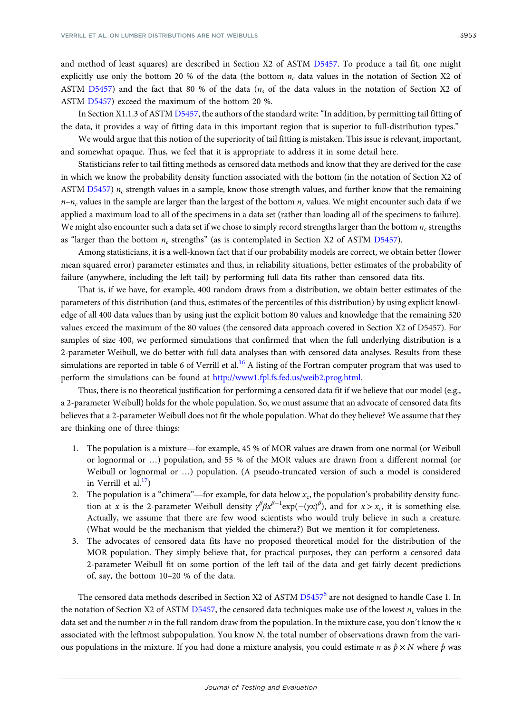and method of least squares) are described in Section X2 of ASTM [D5457](https://www.astm.org/Standards/D5457). To produce a tail fit, one might explicitly use only the bottom 20 % of the data (the bottom  $n_c$  data values in the notation of Section X2 of ASTM [D5457\)](https://www.astm.org/Standards/D5457) and the fact that 80 % of the data  $(n_s)$  of the data values in the notation of Section X2 of ASTM [D5457](https://www.astm.org/Standards/D5457)) exceed the maximum of the bottom 20 %.

In Section X1.1.3 of ASTM [D5457](https://www.astm.org/Standards/D5457), the authors of the standard write: "In addition, by permitting tail fitting of the data, it provides a way of fitting data in this important region that is superior to full-distribution types."

We would argue that this notion of the superiority of tail fitting is mistaken. This issue is relevant, important, and somewhat opaque. Thus, we feel that it is appropriate to address it in some detail here.

Statisticians refer to tail fitting methods as censored data methods and know that they are derived for the case in which we know the probability density function associated with the bottom (in the notation of Section X2 of ASTM [D5457\)](https://www.astm.org/Standards/D5457)  $n_c$  strength values in a sample, know those strength values, and further know that the remaining  $n-n_c$  values in the sample are larger than the largest of the bottom  $n_c$  values. We might encounter such data if we applied a maximum load to all of the specimens in a data set (rather than loading all of the specimens to failure). We might also encounter such a data set if we chose to simply record strengths larger than the bottom  $n_r$  strengths as "larger than the bottom  $n_c$  strengths" (as is contemplated in Section X2 of ASTM [D5457](https://www.astm.org/Standards/D5457)).

Among statisticians, it is a well-known fact that if our probability models are correct, we obtain better (lower mean squared error) parameter estimates and thus, in reliability situations, better estimates of the probability of failure (anywhere, including the left tail) by performing full data fits rather than censored data fits.

That is, if we have, for example, 400 random draws from a distribution, we obtain better estimates of the parameters of this distribution (and thus, estimates of the percentiles of this distribution) by using explicit knowledge of all 400 data values than by using just the explicit bottom 80 values and knowledge that the remaining 320 values exceed the maximum of the 80 values (the censored data approach covered in Section X2 of D5457). For samples of size 400, we performed simulations that confirmed that when the full underlying distribution is a 2-parameter Weibull, we do better with full data analyses than with censored data analyses. Results from these simulations are reported in table 6 of Verrill et al.<sup>[16](#page-16-0)</sup> A listing of the Fortran computer program that was used to perform the simulations can be found at <http://www1.fpl.fs.fed.us/weib2.prog.html>.

Thus, there is no theoretical justification for performing a censored data fit if we believe that our model (e.g., a 2-parameter Weibull) holds for the whole population. So, we must assume that an advocate of censored data fits believes that a 2-parameter Weibull does not fit the whole population. What do they believe? We assume that they are thinking one of three things:<br>
1. The population is a mixture—for example, 45 % of MOR values are drawn f are thinking one of three things:

- or lognormal or …) population, and 55 % of the MOR values are drawn from a different normal (or Weibull or lognormal or …) population. (A pseudo-truncated version of such a model is considered in Verrill et al. $^{17}$ )
- 2. The population is a "chimera"—for example, for data below  $x_c$ , the population's probability density function at x is the 2-parameter Weibull density  $\gamma^{\beta} \beta x^{\beta-1} \exp(-(\gamma x)^{\beta})$ , and for  $x > x_c$ , it is something else. Actually, we assume that there are few wood scientists who would truly believe in such a creature. (What would be the mechanism that yielded the chimera?) But we mention it for completeness.
- 3. The advocates of censored data fits have no proposed theoretical model for the distribution of the MOR population. They simply believe that, for practical purposes, they can perform a censored data 2-parameter Weibull fit on some portion of the left tail of the data and get fairly decent predictions of, say, the bottom 10–20 % of the data.

The censored data methods described in Section X2 of ASTM  $D5457^5$  $D5457^5$  $D5457^5$  are not designed to handle Case 1. In the notation of Section X2 of ASTM [D5457,](https://www.astm.org/Standards/D5457) the censored data techniques make use of the lowest  $n_c$  values in the data set and the number  $n$  in the full random draw from the population. In the mixture case, you don't know the  $n$ associated with the leftmost subpopulation. You know N, the total number of observations drawn from the various populations in the mixture. If you had done a mixture analysis, you could estimate n as  $\hat{p} \times N$  where  $\hat{p}$  was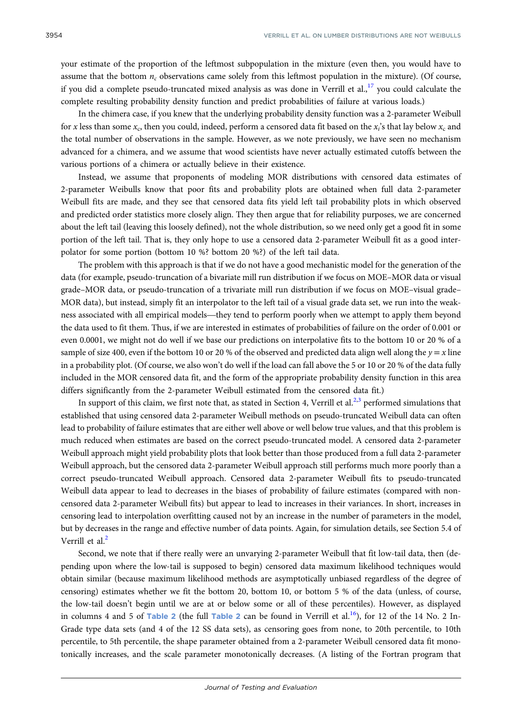your estimate of the proportion of the leftmost subpopulation in the mixture (even then, you would have to assume that the bottom  $n_c$  observations came solely from this leftmost population in the mixture). (Of course, if you did a complete pseudo-truncated mixed analysis as was done in Verrill et al., $^{17}$  $^{17}$  $^{17}$  you could calculate the complete resulting probability density function and predict probabilities of failure at various loads.)

In the chimera case, if you knew that the underlying probability density function was a 2-parameter Weibull for x less than some  $x_c$ , then you could, indeed, perform a censored data fit based on the  $x_i$ 's that lay below  $x_c$  and the total number of observations in the sample. However, as we note previously, we have seen no mechanism advanced for a chimera, and we assume that wood scientists have never actually estimated cutoffs between the various portions of a chimera or actually believe in their existence.

Instead, we assume that proponents of modeling MOR distributions with censored data estimates of 2-parameter Weibulls know that poor fits and probability plots are obtained when full data 2-parameter Weibull fits are made, and they see that censored data fits yield left tail probability plots in which observed and predicted order statistics more closely align. They then argue that for reliability purposes, we are concerned about the left tail (leaving this loosely defined), not the whole distribution, so we need only get a good fit in some portion of the left tail. That is, they only hope to use a censored data 2-parameter Weibull fit as a good interpolator for some portion (bottom 10 %? bottom 20 %?) of the left tail data.

The problem with this approach is that if we do not have a good mechanistic model for the generation of the data (for example, pseudo-truncation of a bivariate mill run distribution if we focus on MOE–MOR data or visual grade–MOR data, or pseudo-truncation of a trivariate mill run distribution if we focus on MOE–visual grade– MOR data), but instead, simply fit an interpolator to the left tail of a visual grade data set, we run into the weakdata (for example, pseudo-truncation of a bivariate mill run distribution if we focus on MOE–MOR data or visual<br>grade–MOR data, or pseudo-truncation of a trivariate mill run distribution if we focus on MOE–visual grade–<br>MO the data used to fit them. Thus, if we are interested in estimates of probabilities of failure on the order of 0.001 or even 0.0001, we might not do well if we base our predictions on interpolative fits to the bottom 10 or 20 % of a sample of size 400, even if the bottom 10 or 20 % of the observed and predicted data align well along the  $y = x$  line in a probability plot. (Of course, we also won't do well if the load can fall above the 5 or 10 or 20 % of the data fully included in the MOR censored data fit, and the form of the appropriate probability density function in this area differs significantly from the 2-parameter Weibull estimated from the censored data fit.)

In support of this claim, we first note that, as stated in Section 4, Verrill et al.<sup>[2,3](#page-16-0)</sup> performed simulations that established that using censored data 2-parameter Weibull methods on pseudo-truncated Weibull data can often lead to probability of failure estimates that are either well above or well below true values, and that this problem is much reduced when estimates are based on the correct pseudo-truncated model. A censored data 2-parameter Weibull approach might yield probability plots that look better than those produced from a full data 2-parameter Weibull approach, but the censored data 2-parameter Weibull approach still performs much more poorly than a correct pseudo-truncated Weibull approach. Censored data 2-parameter Weibull fits to pseudo-truncated Weibull data appear to lead to decreases in the biases of probability of failure estimates (compared with noncensored data 2-parameter Weibull fits) but appear to lead to increases in their variances. In short, increases in censoring lead to interpolation overfitting caused not by an increase in the number of parameters in the model, but by decreases in the range and effective number of data points. Again, for simulation details, see Section 5.4 of Verrill et al.<sup>[2](#page-16-0)</sup>

Second, we note that if there really were an unvarying 2-parameter Weibull that fit low-tail data, then (depending upon where the low-tail is supposed to begin) censored data maximum likelihood techniques would obtain similar (because maximum likelihood methods are asymptotically unbiased regardless of the degree of censoring) estimates whether we fit the bottom 20, bottom 10, or bottom 5 % of the data (unless, of course, the low-tail doesn't begin until we are at or below some or all of these percentiles). However, as displayed in columns 4 and 5 of Table [2](#page-4-0) (the full Table 2 can be found in Verrill et al.<sup>16</sup>), for 12 of the 14 No. 2 In-Grade type data sets (and 4 of the 12 SS data sets), as censoring goes from none, to 20th percentile, to 10th percentile, to 5th percentile, the shape parameter obtained from a 2-parameter Weibull censored data fit monotonically increases, and the scale parameter monotonically decreases. (A listing of the Fortran program that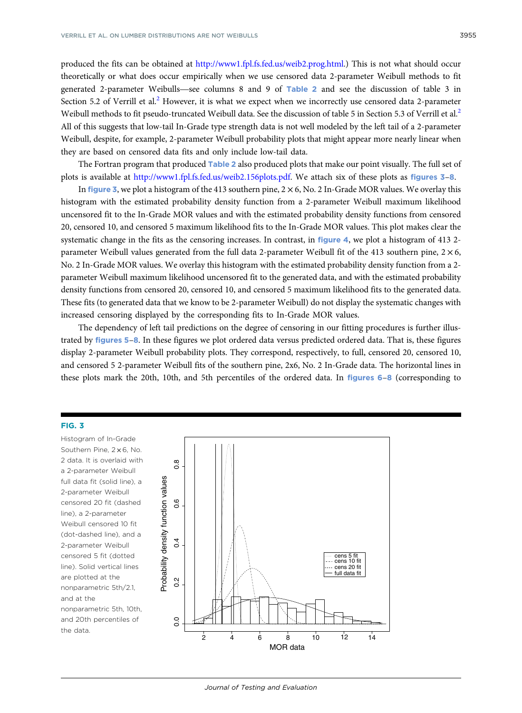produced the fits can be obtained at [http://www1.fpl.fs.fed.us/weib2.prog.html.](http://www1.fpl.fs.fed.us/weib2.prog.html)) This is not what should occur theoretically or what does occur empirically when we use censored data 2-parameter Weibull methods to fit produced the fits can be obtained at http://www1.fpl.fs.fed.us/weib2.prog.html.) This is not what should occur<br>theoretically or what does occur empirically when we use censored data [2](#page-4-0)-parameter Weibull methods to fit<br>gener Section 5.[2](#page-16-0) of Verrill et al.<sup>2</sup> However, it is what we expect when we incorrectly use censored data 2-parameter Weibull methods to fit pseudo-truncated Weibull data. See the discussion of table 5 in Section 5.3 of Verrill et al.<sup>[2](#page-16-0)</sup> All of this suggests that low-tail In-Grade type strength data is not well modeled by the left tail of a 2-parameter Weibull, despite, for example, 2-parameter Weibull probability plots that might appear more nearly linear when they are based on censored data fits and only include low-tail data.

The Fortran program that produced Table [2](#page-4-0) also produced plots that make our point visually. The full set of plots is available at <http://www1.fpl.fs.fed.us/weib2.156plots.pdf>. We attach six of these plots as figures 3–[8](#page-12-0).

In figure 3, we plot a histogram of the 413 southern pine,  $2 \times 6$ , No. 2 In-Grade MOR values. We overlay this histogram with the estimated probability density function from a 2-parameter Weibull maximum likelihood uncensored fit to the In-Grade MOR values and with the estimated probability density functions from censored 20, censored 10, and censored 5 maximum likelihood fits to the In-Grade MOR values. This plot makes clear the systematic change in the fits as the censoring increases. In contrast, in figure [4](#page-10-0), we plot a histogram of 413 2parameter Weibull values generated from the full data 2-parameter Weibull fit of the 413 southern pine,  $2 \times 6$ , No. 2 In-Grade MOR values. We overlay this histogram with the estimated probability density function from a 2 parameter Weibull maximum likelihood uncensored fit to the generated data, and with the estimated probability density functions from censored 20, censored 10, and censored 5 maximum likelihood fits to the generated data. These fits (to generated data that we know to be 2-parameter Weibull) do not display the systematic changes with increased censoring displayed by the corresponding fits to In-Grade MOR values.

The dependency of left tail predictions on the degree of censoring in our fitting procedures is further illustrated by figures [5](#page-10-0)–[8](#page-12-0). In these figures we plot ordered data versus predicted ordered data. That is, these figures display 2-parameter Weibull probability plots. They correspond, respectively, to full, censored 20, censored 10, and censored 5 2-parameter Weibull fits of the southern pine, 2x6, No. 2 In-Grade data. The horizontal lines in these plots mark the 20th, 10th, and 5th percentiles of the ordered data. In figures [6](#page-11-0)–[8](#page-12-0) (corresponding to

#### FIG. 3

Histogram of In-Grade Southern Pine, 2 × 6, No. 2 data. It is overlaid with a 2-parameter Weibull full data fit (solid line), a 2-parameter Weibull censored 20 fit (dashed line), a 2-parameter Weibull censored 10 fit (dot-dashed line), and a 2-parameter Weibull censored 5 fit (dotted line). Solid vertical lines are plotted at the nonparametric 5th/2.1, and at the nonparametric 5th, 10th, and 20th percentiles of the data.

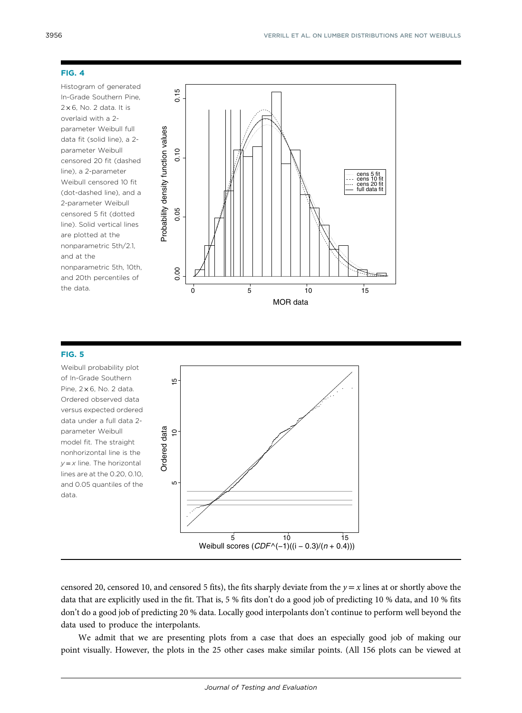<span id="page-10-0"></span>Histogram of generated In-Grade Southern Pine,  $2 \times 6$ . No. 2 data. It is overlaid with a 2 parameter Weibull full data fit (solid line), a 2 parameter Weibull censored 20 fit (dashed line), a 2-parameter Weibull censored 10 fit (dot-dashed line), and a 2-parameter Weibull censored 5 fit (dotted line). Solid vertical lines are plotted at the nonparametric 5th/2.1, and at the nonparametric 5th, 10th, and 20th percentiles of the data.



### FIG. 5

Weibull probability plot of In-Grade Southern Pine,  $2 \times 6$ , No. 2 data. Ordered observed data versus expected ordered data under a full data 2 parameter Weibull model fit. The straight nonhorizontal line is the  $y = x$  line. The horizontal lines are at the 0.20, 0.10, and 0.05 quantiles of the data.



censored 20, censored 10, and censored 5 fits), the fits sharply deviate from the  $y = x$  lines at or shortly above the data that are explicitly used in the fit. That is, 5 % fits don't do a good job of predicting 10 % data, and 10 % fits don't do a good job of predicting 20 % data. Locally good interpolants don't continue to perform well beyond the data used to produce the interpolants.

We admit that we are presenting plots from a case that does an especially good job of making our point visually. However, the plots in the 25 other cases make similar points. (All 156 plots can be viewed at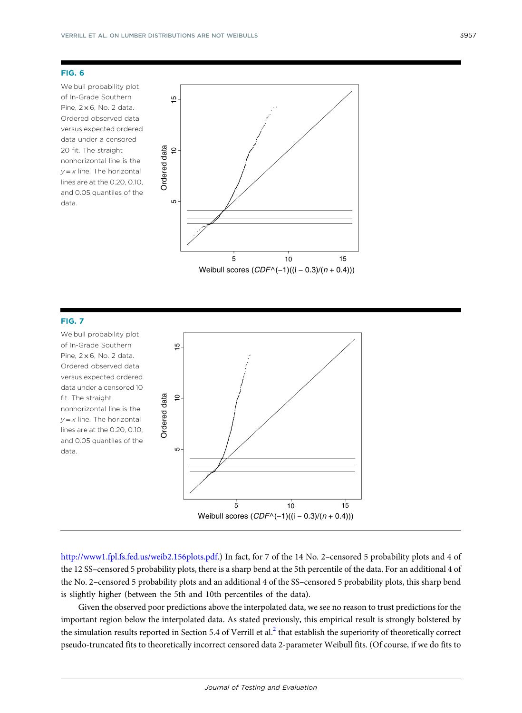<span id="page-11-0"></span>Weibull probability plot of In-Grade Southern Pine,  $2 \times 6$ , No. 2 data. Ordered observed data versus expected ordered data under a censored 20 fit. The straight nonhorizontal line is the  $y = x$  line. The horizontal lines are at the 0.20, 0.10, and 0.05 quantiles of the data.



### FIG. 7

Weibull probability plot of In-Grade Southern Pine,  $2 \times 6$ , No. 2 data. Ordered observed data versus expected ordered data under a censored 10 fit. The straight nonhorizontal line is the  $y = x$  line. The horizontal lines are at the 0.20, 0.10, and 0.05 quantiles of the data.



<http://www1.fpl.fs.fed.us/weib2.156plots.pdf>.) In fact, for 7 of the 14 No. 2–censored 5 probability plots and 4 of the 12 SS–censored 5 probability plots, there is a sharp bend at the 5th percentile of the data. For an additional 4 of the No. 2–censored 5 probability plots and an additional 4 of the SS–censored 5 probability plots, this sharp bend is slightly higher (between the 5th and 10th percentiles of the data).

Given the observed poor predictions above the interpolated data, we see no reason to trust predictions for the important region below the interpolated data. As stated previously, this empirical result is strongly bolstered by the simulation results reported in Section 5.4 of Verrill et al.<sup>[2](#page-16-0)</sup> that establish the superiority of theoretically correct pseudo-truncated fits to theoretically incorrect censored data 2-parameter Weibull fits. (Of course, if we do fits to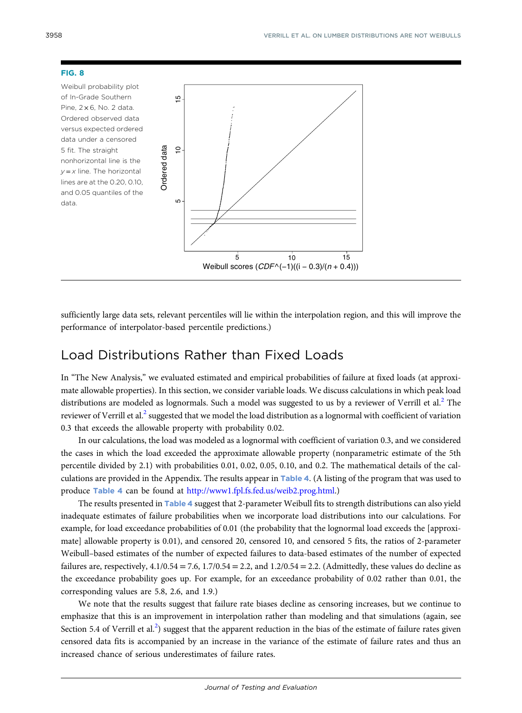<span id="page-12-0"></span>Weibull probability plot of In-Grade Southern Pine,  $2 \times 6$ . No. 2 data. Ordered observed data versus expected ordered data under a censored 5 fit. The straight nonhorizontal line is the  $y = x$  line. The horizontal lines are at the 0.20, 0.10, and 0.05 quantiles of the data.



sufficiently large data sets, relevant percentiles will lie within the interpolation region, and this will improve the performance of interpolator-based percentile predictions.)

## Load Distributions Rather than Fixed Loads

In "The New Analysis," we evaluated estimated and empirical probabilities of failure at fixed loads (at approximate allowable properties). In this section, we consider variable loads. We discuss calculations in which peak load distributions are modeled as lognormals. Such a model was suggested to us by a reviewer of Verrill et al.<sup>[2](#page-16-0)</sup> The reviewer of Verrill et al.<sup>[2](#page-16-0)</sup> suggested that we model the load distribution as a lognormal with coefficient of variation 0.3 that exceeds the allowable property with probability 0.02.

In our calculations, the load was modeled as a lognormal with coefficient of variation 0.3, and we considered the cases in which the load exceeded the approximate allowable property (nonparametric estimate of the 5th percentile divided by 2.1) with probabilities 0.01, 0.02, 0.05, 0.10, and 0.2. The mathematical details of the calculations are provided in the Appendix. The results appear in Table [4](#page-13-0). (A listing of the program that was used to produce Table [4](#page-13-0) can be found at <http://www1.fpl.fs.fed.us/weib2.prog.html>.)

The results presented in Table [4](#page-13-0) suggest that 2-parameter Weibull fits to strength distributions can also yield inadequate estimates of failure probabilities when we incorporate load distributions into our calculations. For example, for load exceedance probabilities of 0.01 (the probability that the lognormal load exceeds the [approximate] allowable property is 0.01), and censored 20, censored 10, and censored 5 fits, the ratios of 2-parameter Weibull–based estimates of the number of expected failures to data-based estimates of the number of expected failures are, respectively,  $4.1/0.54 = 7.6$ ,  $1.7/0.54 = 2.2$ , and  $1.2/0.54 = 2.2$ . (Admittedly, these values do decline as the exceedance probability goes up. For example, for an exceedance probability of 0.02 rather than 0.01, the corresponding values are 5.8, 2.6, and 1.9.) increased chance of serious underestimates of failure rates. Ordered data

We note that the results suggest that failure rate biases decline as censoring increases, but we continue to emphasize that this is an improvement in interpolation rather than modeling and that simulations (again, see Section 5.4 of Verrill et al.<sup>[2](#page-16-0)</sup>) suggest that the apparent reduction in the bias of the estimate of failure rates given censored data fits is accompanied by an increase in the variance of the estimate of failure rates and thus an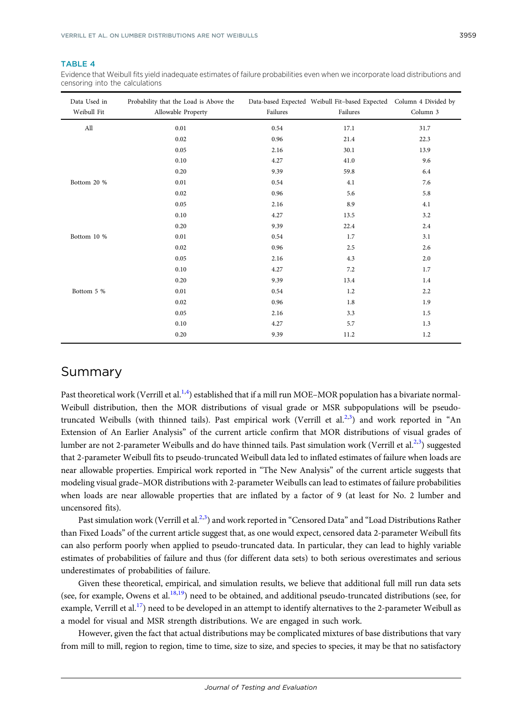#### <span id="page-13-0"></span>TABLE 4

Evidence that Weibull fits yield inadequate estimates of failure probabilities even when we incorporate load distributions and censoring into the calculations

| Data Used in<br>Weibull Fit | Probability that the Load is Above the<br>Allowable Property | Failures | Data-based Expected Weibull Fit-based Expected Column 4 Divided by<br>Failures | Column 3 |
|-----------------------------|--------------------------------------------------------------|----------|--------------------------------------------------------------------------------|----------|
| All                         | 0.01                                                         | 0.54     | 17.1                                                                           | 31.7     |
|                             | 0.02                                                         | 0.96     | 21.4                                                                           | 22.3     |
|                             | 0.05                                                         | 2.16     | 30.1                                                                           | 13.9     |
|                             | 0.10                                                         | 4.27     | 41.0                                                                           | 9.6      |
|                             | 0.20                                                         | 9.39     | 59.8                                                                           | 6.4      |
| Bottom 20 %                 | 0.01                                                         | 0.54     | 4.1                                                                            | 7.6      |
|                             | 0.02                                                         | 0.96     | 5.6                                                                            | 5.8      |
|                             | 0.05                                                         | 2.16     | 8.9                                                                            | 4.1      |
|                             | 0.10                                                         | 4.27     | 13.5                                                                           | 3.2      |
|                             | 0.20                                                         | 9.39     | 22.4                                                                           | 2.4      |
| Bottom 10 %                 | 0.01                                                         | 0.54     | 1.7                                                                            | 3.1      |
|                             | 0.02                                                         | 0.96     | 2.5                                                                            | 2.6      |
|                             | 0.05                                                         | 2.16     | 4.3                                                                            | 2.0      |
|                             | 0.10                                                         | 4.27     | 7.2                                                                            | 1.7      |
|                             | 0.20                                                         | 9.39     | 13.4                                                                           | 1.4      |
| Bottom 5 %                  | 0.01                                                         | 0.54     | 1.2                                                                            | 2.2      |
|                             | 0.02                                                         | 0.96     | 1.8                                                                            | 1.9      |
|                             | 0.05                                                         | 2.16     | 3.3                                                                            | 1.5      |
|                             | 0.10                                                         | 4.27     | 5.7                                                                            | 1.3      |
|                             | 0.20                                                         | 9.39     | 11.2                                                                           | 1.2      |

### Summary

Past theoretical work (Verrill et al.<sup>[1,4](#page-16-0)</sup>) established that if a mill run MOE–MOR population has a bivariate normal-Weibull distribution, then the MOR distributions of visual grade or MSR subpopulations will be pseudo-truncated Weibulls (with thinned tails). Past empirical work (Verrill et al.<sup>[2,3](#page-16-0)</sup>) and work reported in "An Extension of An Earlier Analysis" of the current article confirm that MOR distributions of visual grades of lumber are not 2-parameter Weibulls and do have thinned tails. Past simulation work (Verrill et al.<sup>2,[3](#page-16-0)</sup>) suggested that 2-parameter Weibull fits to pseudo-truncated Weibull data led to inflated estimates of failure when loads are near allowable properties. Empirical work reported in "The New Analysis" of the current article suggests that modeling visual grade–MOR distributions with 2-parameter Weibulls can lead to estimates of failure probabilities when loads are near allowable properties that are inflated by a factor of 9 (at least for No. 2 lumber and uncensored fits).

Past simulation work (Verrill et al.<sup>[2](#page-16-0),[3](#page-16-0)</sup>) and work reported in "Censored Data" and "Load Distributions Rather than Fixed Loads" of the current article suggest that, as one would expect, censored data 2-parameter Weibull fits can also perform poorly when applied to pseudo-truncated data. In particular, they can lead to highly variable estimates of probabilities of failure and thus (for different data sets) to both serious overestimates and serious underestimates of probabilities of failure.

Given these theoretical, empirical, and simulation results, we believe that additional full mill run data sets (see, for example, Owens et al.<sup>18,19</sup>) need to be obtained, and additional pseudo-truncated distributions (see, for example, Verrill et al.<sup>17</sup>) need to be developed in an attempt to identify alternatives to the 2-parameter Weibull as a model for visual and MSR strength distributions. We are engaged in such work.

However, given the fact that actual distributions may be complicated mixtures of base distributions that vary from mill to mill, region to region, time to time, size to size, and species to species, it may be that no satisfactory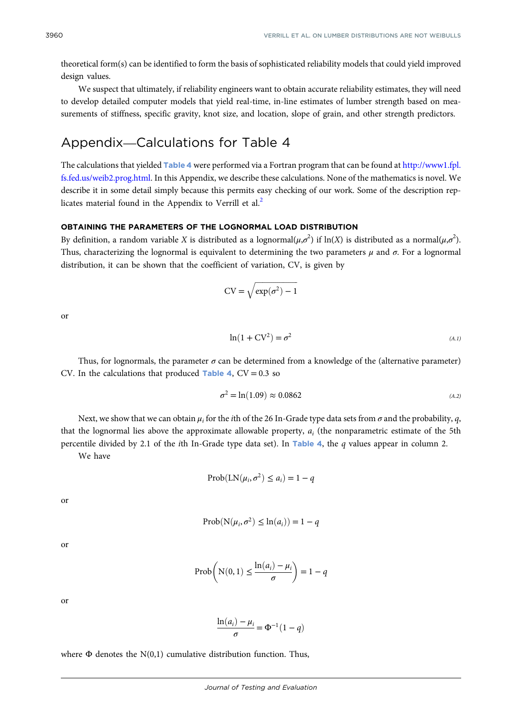<span id="page-14-0"></span>theoretical form(s) can be identified to form the basis of sophisticated reliability models that could yield improved design values.

We suspect that ultimately, if reliability engineers want to obtain accurate reliability estimates, they will need to develop detailed computer models that yield real-time, in-line estimates of lumber strength based on measurements of stiffness, specific gravity, knot size, and location, slope of grain, and other strength predictors.

## Appendix—Calculations for Table 4

The calculations that yielded Table [4](#page-13-0) were performed via a Fortran program that can be found at [http://www1.fpl.](http://www1.fpl.fs.fed.us/weib2.prog.html) [fs.fed.us/weib2.prog.html.](http://www1.fpl.fs.fed.us/weib2.prog.html) In this Appendix, we describe these calculations. None of the mathematics is novel. We describe it in some detail simply because this permits easy checking of our work. Some of the description rep-licates material found in the Appendix to Verrill et al.<sup>[2](#page-16-0)</sup>

#### OBTAINING THE PARAMETERS OF THE LOGNORMAL LOAD DISTRIBUTION

By definition, a random variable X is distributed as a lognormal $(\mu,\sigma^2)$  if  $\ln(X)$  is distributed as a normal $(\mu,\sigma^2)$ . Thus, characterizing the lognormal is equivalent to determining the two parameters  $\mu$  and  $\sigma$ . For a lognormal distribution, it can be shown that the coefficient of variation, CV, is given by

$$
CV = \sqrt{\exp(\sigma^2) - 1}
$$

or

$$
\ln(1 + CV^2) = \sigma^2 \tag{A.1}
$$

Thus, for lognormals, the parameter  $\sigma$  can be determined from a knowledge of the (alternative parameter) CV. In the calculations that produced Table [4](#page-13-0),  $CV = 0.3$  so

$$
\sigma^2 = \ln(1.09) \approx 0.0862 \tag{A.2}
$$

Next, we show that we can obtain  $\mu_i$  for the *i*th of the 26 In-Grade type data sets from  $\sigma$  and the probability, q, that the lognormal lies above the approximate allowable property,  $a_i$  (the nonparametric estimate of the 5th percentile divided by 2.1 of the *i*th In-Grade type data set). In Table [4](#page-13-0), the  $q$  values appear in column 2.

We have

$$
Prob(LN(\mu_i, \sigma^2) \le a_i) = 1 - q
$$

or

$$
Prob(N(\mu_i, \sigma^2) \leq ln(a_i)) = 1 - q
$$

or

$$
Prob\left(N(0, 1) \le \frac{\ln(a_i) - \mu_i}{\sigma}\right) = 1 - q
$$

or

$$
\frac{\ln(a_i) - \mu_i}{\sigma} = \Phi^{-1}(1 - q)
$$

where  $\Phi$  denotes the N(0,1) cumulative distribution function. Thus,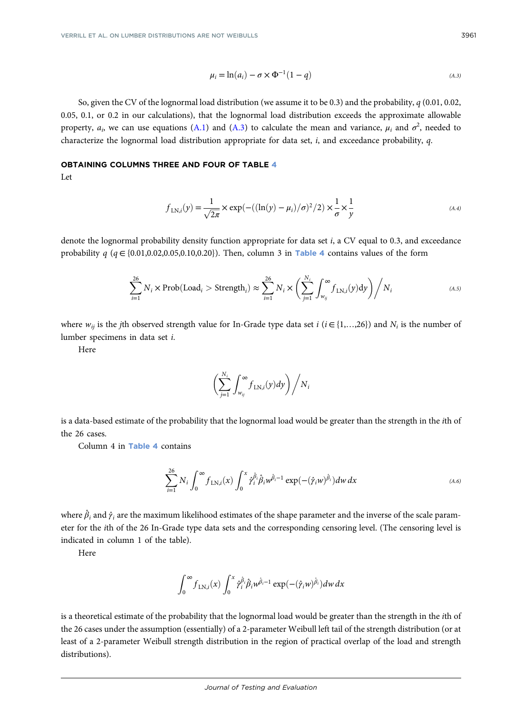$$
\mu_i = \ln(a_i) - \sigma \times \Phi^{-1}(1 - q) \tag{A.3}
$$

So, given the CV of the lognormal load distribution (we assume it to be 0.3) and the probability,  $q$  (0.01, 0.02, 0.05, 0.1, or 0.2 in our calculations), that the lognormal load distribution exceeds the approximate allowable property,  $a_i$ , we can use equations [\(A.1](#page-14-0)) and [\(A.3](#page-14-0)) to calculate the mean and variance,  $\mu_i$  and  $\sigma^2$ , needed to characterize the lognormal load distribution appropriate for data set, i, and exceedance probability, q.

## OBTAINING COLUMNS THREE AND FOUR OF TABLE [4](#page-13-0)

Let

$$
f_{LN,i}(y) = \frac{1}{\sqrt{2\pi}} \times \exp\left(-\left(\frac{\ln(y) - \mu_i}{\sigma}\right)^2/2\right) \times \frac{1}{\sigma} \times \frac{1}{y}
$$
\n(A.4)

denote the lognormal probability density function appropriate for data set i, a CV equal to 0.3, and exceedance probability q  $(q \in \{0.01, 0.02, 0.05, 0.10, 0.20\})$ . Then, column 3 in Table [4](#page-13-0) contains values of the form

$$
\sum_{i=1}^{26} N_i \times \text{Prob}(\text{Load}_i > \text{Strength}_i) \approx \sum_{i=1}^{26} N_i \times \left(\sum_{j=1}^{N_i} \int_{w_{ij}}^{\infty} f_{\text{LN},i}(y) \, dy\right) / N_i \tag{A.5}
$$

where  $w_{ij}$  is the jth observed strength value for In-Grade type data set i ( $i \in \{1,...,26\}$ ) and  $N_i$  is the number of lumber specimens in data set i.

Here

$$
\bigg(\sum_{j=1}^{N_i}\int_{w_{ij}}^{\infty}f_{\text{LN},i}(y)dy\bigg)\bigg/N_i
$$

is a data-based estimate of the probability that the lognormal load would be greater than the strength in the ith of the 26 cases.

Column 4 in Table [4](#page-13-0) contains

$$
\sum_{i=1}^{26} N_i \int_0^\infty f_{\text{LN},i}(x) \int_0^x \hat{\gamma}_i^{\hat{\beta}_i} \hat{\beta}_i w^{\hat{\beta}_i-1} \exp(-(\hat{\gamma}_i w)^{\hat{\beta}_i}) dw dx \tag{A.6}
$$

where  $\hat{\beta}_i$  and  $\hat{\gamma}_i$  are the maximum likelihood estimates of the shape parameter and the inverse of the scale parameter for the ith of the 26 In-Grade type data sets and the corresponding censoring level. (The censoring level is indicated in column 1 of the table).

Here

$$
\int_0^\infty f_{\text{LN},i}(x) \int_0^x \hat{\gamma}_i^{\hat{\beta}_i} \hat{\beta}_i w^{\hat{\beta}_i-1} \exp(-(\hat{\gamma}_i w)^{\hat{\beta}_i}) dw dx
$$

is a theoretical estimate of the probability that the lognormal load would be greater than the strength in the ith of the 26 cases under the assumption (essentially) of a 2-parameter Weibull left tail of the strength distribution (or at least of a 2-parameter Weibull strength distribution in the region of practical overlap of the load and strength distributions).